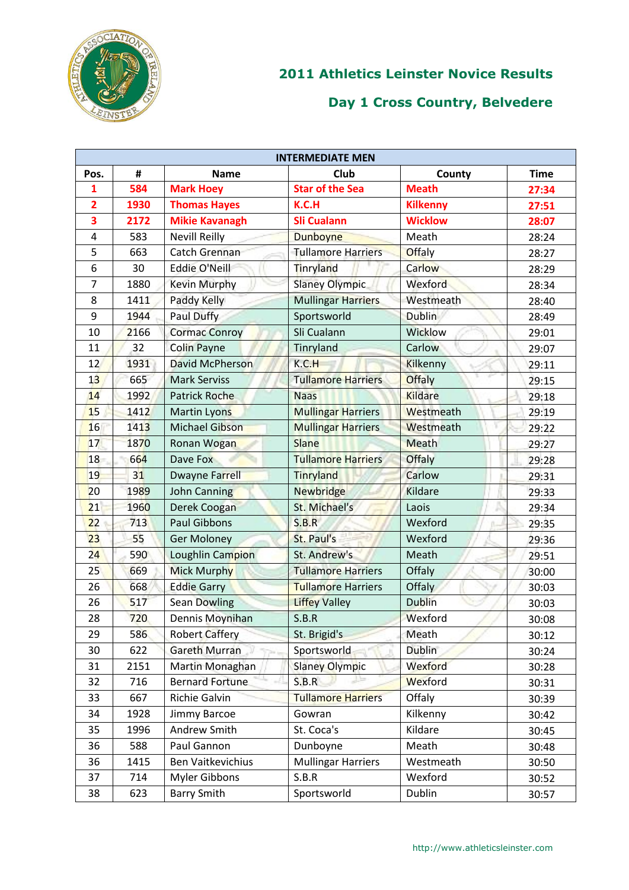

|                | <b>INTERMEDIATE MEN</b> |                          |                           |                 |             |  |  |
|----------------|-------------------------|--------------------------|---------------------------|-----------------|-------------|--|--|
| Pos.           | #                       | <b>Name</b>              | Club                      | County          | <b>Time</b> |  |  |
| 1              | 584                     | <b>Mark Hoey</b>         | <b>Star of the Sea</b>    | <b>Meath</b>    | 27:34       |  |  |
| $\overline{2}$ | 1930                    | <b>Thomas Hayes</b>      | K.C.H                     | <b>Kilkenny</b> | 27:51       |  |  |
| 3              | 2172                    | <b>Mikie Kavanagh</b>    | <b>Sli Cualann</b>        | <b>Wicklow</b>  | 28:07       |  |  |
| 4              | 583                     | <b>Nevill Reilly</b>     | <b>Dunboyne</b>           | Meath           | 28:24       |  |  |
| 5              | 663                     | Catch Grennan            | <b>Tullamore Harriers</b> | <b>Offaly</b>   | 28:27       |  |  |
| 6              | 30                      | <b>Eddie O'Neill</b>     | Tinryland                 | <b>Carlow</b>   | 28:29       |  |  |
| 7              | 1880                    | <b>Kevin Murphy</b>      | <b>Slaney Olympic</b>     | Wexford         | 28:34       |  |  |
| 8              | 1411                    | Paddy Kelly              | <b>Mullingar Harriers</b> | Westmeath       | 28:40       |  |  |
| 9              | 1944                    | Paul Duffy               | Sportsworld               | <b>Dublin</b>   | 28:49       |  |  |
| 10             | 2166                    | <b>Cormac Conroy</b>     | Sli Cualann               | <b>Wicklow</b>  | 29:01       |  |  |
| 11             | 32                      | <b>Colin Payne</b>       | Tinryland                 | Carlow          | 29:07       |  |  |
| 12             | 1931                    | <b>David McPherson</b>   | K.C.H                     | Kilkenny        | 29:11       |  |  |
| 13             | 665                     | <b>Mark Serviss</b>      | <b>Tullamore Harriers</b> | <b>Offaly</b>   | 29:15       |  |  |
| 14             | 1992                    | <b>Patrick Roche</b>     | <b>Naas</b>               | <b>Kildare</b>  | 29:18       |  |  |
| 15             | 1412                    | Martin Lyons             | <b>Mullingar Harriers</b> | Westmeath       | 29:19       |  |  |
| 16             | 1413                    | <b>Michael Gibson</b>    | <b>Mullingar Harriers</b> | Westmeath       | 29:22       |  |  |
| 17             | 1870                    | Ronan Wogan              | <b>Slane</b>              | <b>Meath</b>    | 29:27       |  |  |
| 18             | 664                     | Dave Fox                 | <b>Tullamore Harriers</b> | <b>Offaly</b>   | 29:28       |  |  |
| 19             | 31                      | <b>Dwayne Farrell</b>    | Tinryland                 | Carlow          | 29:31       |  |  |
| 20             | 1989                    | John Canning             | <b>Newbridge</b>          | Kildare         | 29:33       |  |  |
| 21             | 1960                    | Derek Coogan             | St. Michael's             | Laois           | 29:34       |  |  |
| 22             | 713                     | <b>Paul Gibbons</b>      | S.B.R                     | Wexford         | 29:35       |  |  |
| 23             | 55                      | <b>Ger Moloney</b>       | St. Paul's                | Wexford         | 29:36       |  |  |
| 24             | 590                     | Loughlin Campion         | St. Andrew's              | Meath           | 29:51       |  |  |
| 25             | 669                     | <b>Mick Murphy</b>       | <b>Tullamore Harriers</b> | Offaly          | 30:00       |  |  |
| 26             | 668                     | <b>Eddie Garry</b>       | <b>Tullamore Harriers</b> | Offaly          | 30:03       |  |  |
| 26             | 517                     | <b>Sean Dowling</b>      | <b>Liffey Valley</b>      | <b>Dublin</b>   | 30:03       |  |  |
| 28             | 720                     | Dennis Moynihan          | S.B.R                     | Wexford         | 30:08       |  |  |
| 29             | 586                     | <b>Robert Caffery</b>    | St. Brigid's              | Meath           | 30:12       |  |  |
| 30             | 622                     | <b>Gareth Murran</b>     | Sportsworld               | <b>Dublin</b>   | 30:24       |  |  |
| 31             | 2151                    | Martin Monaghan          | <b>Slaney Olympic</b>     | Wexford         | 30:28       |  |  |
| 32             | 716                     | <b>Bernard Fortune</b>   | S.B.R                     | Wexford         | 30:31       |  |  |
| 33             | 667                     | Richie Galvin            | <b>Tullamore Harriers</b> | Offaly          | 30:39       |  |  |
| 34             | 1928                    | Jimmy Barcoe             | Gowran                    | Kilkenny        | 30:42       |  |  |
| 35             | 1996                    | Andrew Smith             | St. Coca's                | Kildare         | 30:45       |  |  |
| 36             | 588                     | Paul Gannon              | Dunboyne                  | Meath           | 30:48       |  |  |
| 36             | 1415                    | <b>Ben Vaitkevichius</b> | <b>Mullingar Harriers</b> | Westmeath       | 30:50       |  |  |
| 37             | 714                     | Myler Gibbons            | S.B.R                     | Wexford         | 30:52       |  |  |
| 38             | 623                     | <b>Barry Smith</b>       | Sportsworld               | <b>Dublin</b>   | 30:57       |  |  |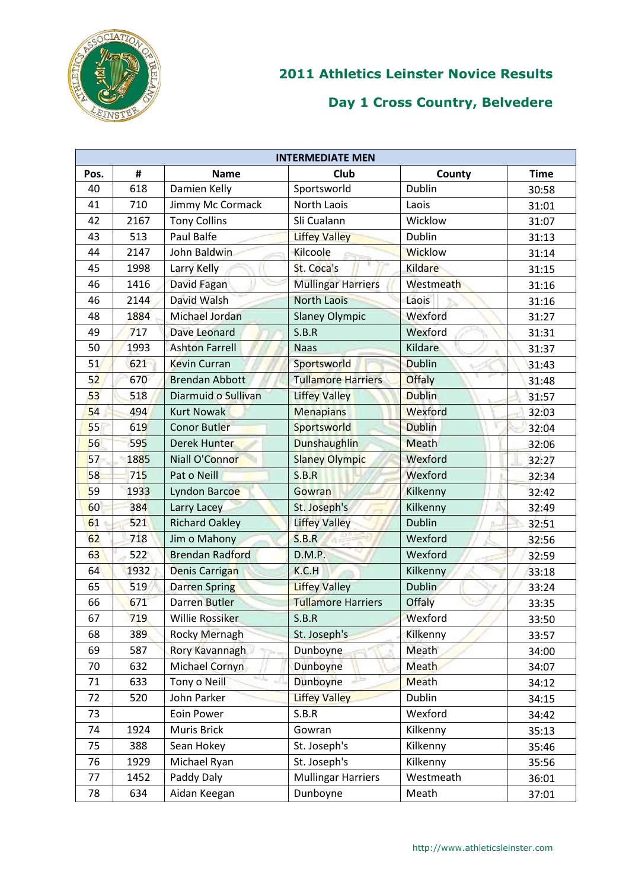

|      | <b>INTERMEDIATE MEN</b> |                        |                           |                |             |  |  |
|------|-------------------------|------------------------|---------------------------|----------------|-------------|--|--|
| Pos. | #                       | <b>Name</b>            | Club                      | County         | <b>Time</b> |  |  |
| 40   | 618                     | Damien Kelly           | Sportsworld               | <b>Dublin</b>  | 30:58       |  |  |
| 41   | 710                     | Jimmy Mc Cormack       | North Laois               | Laois          | 31:01       |  |  |
| 42   | 2167                    | <b>Tony Collins</b>    | Sli Cualann               | Wicklow        | 31:07       |  |  |
| 43   | 513                     | Paul Balfe             | <b>Liffey Valley</b>      | Dublin         | 31:13       |  |  |
| 44   | 2147                    | John Baldwin           | Kilcoole                  | <b>Wicklow</b> | 31:14       |  |  |
| 45   | 1998                    | Larry Kelly            | St. Coca's                | Kildare        | 31:15       |  |  |
| 46   | 1416                    | David Fagan            | <b>Mullingar Harriers</b> | Westmeath      | 31:16       |  |  |
| 46   | 2144                    | David Walsh            | <b>North Laois</b>        | Laois          | 31:16       |  |  |
| 48   | 1884                    | Michael Jordan         | <b>Slaney Olympic</b>     | Wexford        | 31:27       |  |  |
| 49   | 717                     | Dave Leonard           | S.B.R                     | Wexford        | 31:31       |  |  |
| 50   | 1993                    | <b>Ashton Farrell</b>  | <b>Naas</b>               | Kildare        | 31:37       |  |  |
| 51   | 621                     | <b>Kevin Curran</b>    | Sportsworld               | <b>Dublin</b>  | 31:43       |  |  |
| 52   | 670                     | <b>Brendan Abbott</b>  | <b>Tullamore Harriers</b> | <b>Offaly</b>  | 31:48       |  |  |
| 53   | 518                     | Diarmuid o Sullivan    | <b>Liffey Valley</b>      | <b>Dublin</b>  | 31:57       |  |  |
| 54   | 494                     | <b>Kurt Nowak</b>      | <b>Menapians</b>          | Wexford        | 32:03       |  |  |
| 55   | 619                     | <b>Conor Butler</b>    | Sportsworld               | <b>Dublin</b>  | 32:04       |  |  |
| 56   | 595                     | Derek Hunter           | Dunshaughlin              | Meath          | 32:06       |  |  |
| 57   | 1885                    | Niall O'Connor         | <b>Slaney Olympic</b>     | Wexford        | 32:27       |  |  |
| 58   | 715                     | Pat o Neill            | S.B.R                     | Wexford        | 32:34       |  |  |
| 59   | 1933                    | Lyndon Barcoe          | Gowran                    | Kilkenny       | 32:42       |  |  |
| 60   | 384                     | Larry Lacey            | St. Joseph's              | Kilkenny       | 32:49       |  |  |
| 61   | 521                     | <b>Richard Oakley</b>  | <b>Liffey Valley</b>      | <b>Dublin</b>  | 32:51       |  |  |
| 62   | 718                     | Jim o Mahony           | S.B.R                     | Wexford        | 32:56       |  |  |
| 63   | 522                     | <b>Brendan Radford</b> | <b>D.M.P.</b>             | Wexford        | 32:59       |  |  |
| 64   | 1932                    | <b>Denis Carrigan</b>  | K.C.H                     | Kilkenny       | 33:18       |  |  |
| 65   | 519                     | <b>Darren Spring</b>   | <b>Liffey Valley</b>      | <b>Dublin</b>  | 33:24       |  |  |
| 66   | 671                     | <b>Darren Butler</b>   | <b>Tullamore Harriers</b> | <b>Offaly</b>  | 33:35       |  |  |
| 67   | 719                     | <b>Willie Rossiker</b> | S.B.R                     | Wexford        | 33:50       |  |  |
| 68   | 389                     | <b>Rocky Mernagh</b>   | St. Joseph's              | Kilkenny       | 33:57       |  |  |
| 69   | 587                     | Rory Kavannagh         | Dunboyne                  | Meath          | 34:00       |  |  |
| 70   | 632                     | Michael Cornyn         | Dunboyne                  | Meath          | 34:07       |  |  |
| 71   | 633                     | Tony o Neill           | Dunboyne                  | Meath          | 34:12       |  |  |
| 72   | 520                     | John Parker            | <b>Liffey Valley</b>      | <b>Dublin</b>  | 34:15       |  |  |
| 73   |                         | Eoin Power             | S.B.R                     | Wexford        | 34:42       |  |  |
| 74   | 1924                    | Muris Brick            | Gowran                    | Kilkenny       | 35:13       |  |  |
| 75   | 388                     | Sean Hokey             | St. Joseph's              | Kilkenny       | 35:46       |  |  |
| 76   | 1929                    | Michael Ryan           | St. Joseph's              | Kilkenny       | 35:56       |  |  |
| 77   | 1452                    | Paddy Daly             | <b>Mullingar Harriers</b> | Westmeath      | 36:01       |  |  |
| 78   | 634                     | Aidan Keegan           | Dunboyne                  | Meath          | 37:01       |  |  |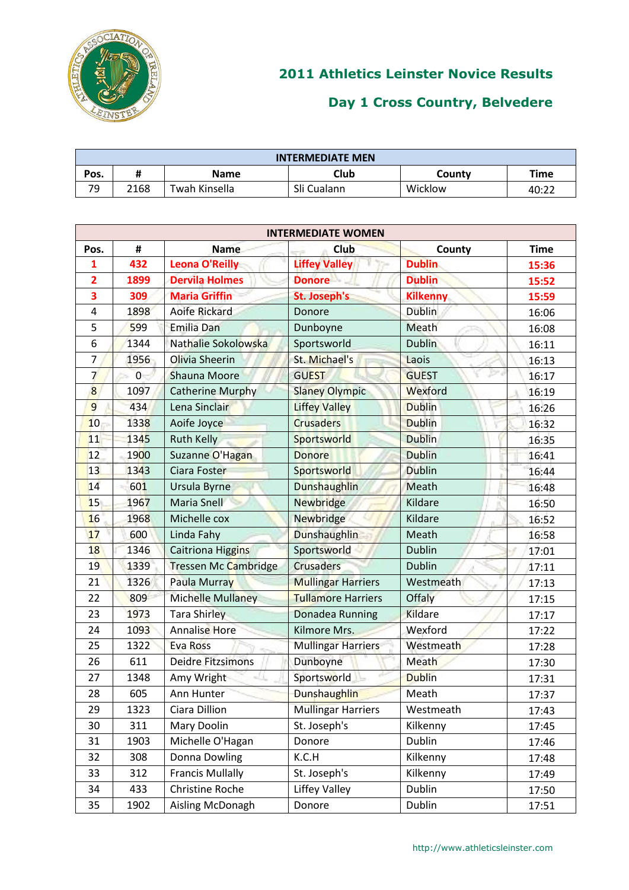

| <b>INTERMEDIATE MEN</b> |      |               |             |         |       |  |
|-------------------------|------|---------------|-------------|---------|-------|--|
| Pos.                    | π    | <b>Name</b>   | Club        | County  | Time  |  |
| 7۹                      | 2168 | Twah Kinsella | Sli Cualann | Wicklow | 40:22 |  |

|                | <b>INTERMEDIATE WOMEN</b> |                          |                           |                 |             |  |  |
|----------------|---------------------------|--------------------------|---------------------------|-----------------|-------------|--|--|
| Pos.           | #                         | <b>Name</b>              | Club                      | County          | <b>Time</b> |  |  |
| 1              | 432                       | <b>Leona O'Reilly</b>    | <b>Liffey Valley</b>      | <b>Dublin</b>   | 15:36       |  |  |
| $\overline{2}$ | 1899                      | <b>Dervila Holmes</b>    | <b>Donore</b>             | <b>Dublin</b>   | 15:52       |  |  |
| 3              | 309                       | <b>Maria Griffin</b>     | St. Joseph's              | <b>Kilkenny</b> | 15:59       |  |  |
| 4              | 1898                      | <b>Aoife Rickard</b>     | Donore                    | <b>Dublin</b>   | 16:06       |  |  |
| 5              | 599                       | <b>Emilia Dan</b>        | Dunboyne                  | Meath           | 16:08       |  |  |
| 6              | 1344                      | Nathalie Sokolowska      | Sportsworld               | <b>Dublin</b>   | 16:11       |  |  |
| $\overline{7}$ | 1956                      | Olivia Sheerin           | St. Michael's             | Laois           | 16:13       |  |  |
| $\overline{7}$ | $\overline{0}$            | Shauna Moore             | <b>GUEST</b>              | <b>GUEST</b>    | 16:17       |  |  |
| 8              | 1097                      | <b>Catherine Murphy</b>  | <b>Slaney Olympic</b>     | Wexford         | 16:19       |  |  |
| 9              | 434                       | Lena Sinclair            | <b>Liffey Valley</b>      | <b>Dublin</b>   | 16:26       |  |  |
| 10             | 1338                      | Aoife Joyce              | <b>Crusaders</b>          | <b>Dublin</b>   | 16:32       |  |  |
| 11             | 1345                      | <b>Ruth Kelly</b>        | Sportsworld               | <b>Dublin</b>   | 16:35       |  |  |
| 12             | 1900                      | Suzanne O'Hagan          | <b>Donore</b>             | <b>Dublin</b>   | 16:41       |  |  |
| 13             | 1343                      | Ciara Foster             | Sportsworld               | <b>Dublin</b>   | 16:44       |  |  |
| 14             | 601                       | Ursula Byrne             | <b>Dunshaughlin</b>       | Meath           | 16:48       |  |  |
| 15             | 1967                      | Maria Snell              | <b>Newbridge</b>          | <b>Kildare</b>  | 16:50       |  |  |
| 16             | 1968                      | Michelle cox             | <b>Newbridge</b>          | Kildare         | 16:52       |  |  |
| 17             | 600                       | Linda Fahy               | Dunshaughlin              | Meath           | 16:58       |  |  |
| 18             | 1346                      | <b>Caitriona Higgins</b> | Sportsworld               | <b>Dublin</b>   | 17:01       |  |  |
| 19             | 1339                      | Tressen Mc Cambridge     | <b>Crusaders</b>          | <b>Dublin</b>   | 17:11       |  |  |
| 21             | 1326                      | Paula Murray             | <b>Mullingar Harriers</b> | Westmeath       | 17:13       |  |  |
| 22             | 809                       | <b>Michelle Mullaney</b> | <b>Tullamore Harriers</b> | Offaly          | 17:15       |  |  |
| 23             | 1973                      | <b>Tara Shirley</b>      | Donadea Running           | Kildare         | 17:17       |  |  |
| 24             | 1093                      | <b>Annalise Hore</b>     | Kilmore Mrs.              | Wexford         | 17:22       |  |  |
| 25             | 1322                      | Eva Ross                 | <b>Mullingar Harriers</b> | Westmeath       | 17:28       |  |  |
| 26             | 611                       | <b>Deidre Fitzsimons</b> | Dunboyne                  | Meath           | 17:30       |  |  |
| 27             | 1348                      | Amy Wright               | Sportsworld               | <b>Dublin</b>   | 17:31       |  |  |
| 28             | 605                       | Ann Hunter               | Dunshaughlin              | Meath           | 17:37       |  |  |
| 29             | 1323                      | Ciara Dillion            | <b>Mullingar Harriers</b> | Westmeath       | 17:43       |  |  |
| 30             | 311                       | Mary Doolin              | St. Joseph's              | Kilkenny        | 17:45       |  |  |
| 31             | 1903                      | Michelle O'Hagan         | Donore                    | Dublin          | 17:46       |  |  |
| 32             | 308                       | <b>Donna Dowling</b>     | K.C.H                     | Kilkenny        | 17:48       |  |  |
| 33             | 312                       | <b>Francis Mullally</b>  | St. Joseph's              | Kilkenny        | 17:49       |  |  |
| 34             | 433                       | <b>Christine Roche</b>   | Liffey Valley             | Dublin          | 17:50       |  |  |
| 35             | 1902                      | Aisling McDonagh         | Donore                    | Dublin          | 17:51       |  |  |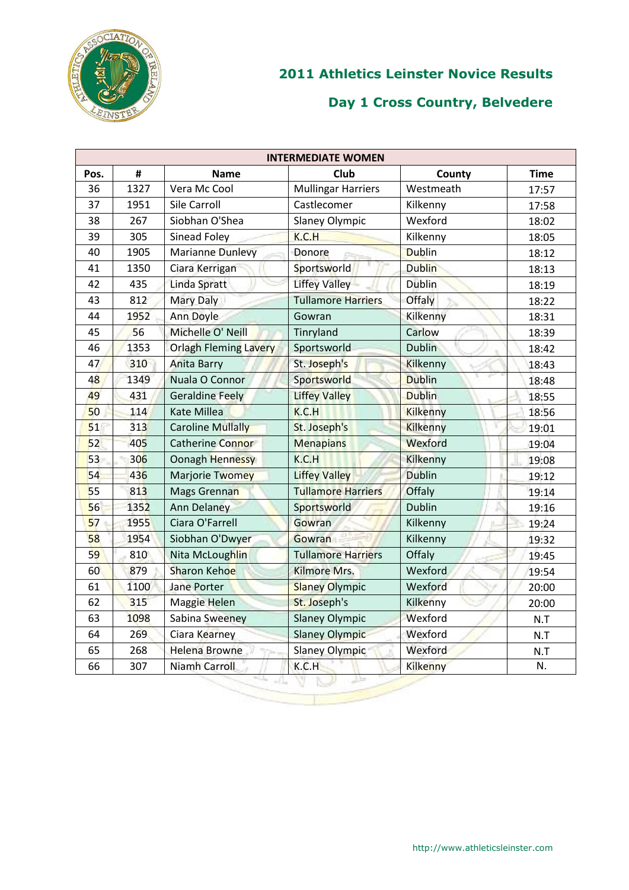

| <b>INTERMEDIATE WOMEN</b> |      |                              |                           |                 |             |  |  |
|---------------------------|------|------------------------------|---------------------------|-----------------|-------------|--|--|
| Pos.                      | #    | <b>Name</b>                  | Club                      | County          | <b>Time</b> |  |  |
| 36                        | 1327 | Vera Mc Cool                 | <b>Mullingar Harriers</b> | Westmeath       | 17:57       |  |  |
| 37                        | 1951 | Sile Carroll                 | Castlecomer               | Kilkenny        | 17:58       |  |  |
| 38                        | 267  | Siobhan O'Shea               | <b>Slaney Olympic</b>     | Wexford         | 18:02       |  |  |
| 39                        | 305  | Sinead Foley                 | K.C.H                     | Kilkenny        | 18:05       |  |  |
| 40                        | 1905 | <b>Marianne Dunlevy</b>      | Donore                    | <b>Dublin</b>   | 18:12       |  |  |
| 41                        | 1350 | Ciara Kerrigan               | Sportsworld               | <b>Dublin</b>   | 18:13       |  |  |
| 42                        | 435  | Linda Spratt                 | <b>Liffey Valley</b>      | <b>Dublin</b>   | 18:19       |  |  |
| 43                        | 812  | <b>Mary Daly</b>             | <b>Tullamore Harriers</b> | Offaly          | 18:22       |  |  |
| 44                        | 1952 | Ann Doyle                    | Gowran                    | Kilkenny        | 18:31       |  |  |
| 45                        | 56   | Michelle O' Neill            | Tinryland                 | Carlow          | 18:39       |  |  |
| 46                        | 1353 | <b>Orlagh Fleming Lavery</b> | Sportsworld               | <b>Dublin</b>   | 18:42       |  |  |
| 47                        | 310  | <b>Anita Barry</b>           | St. Joseph's              | <b>Kilkenny</b> | 18:43       |  |  |
| 48                        | 1349 | Nuala O Connor               | Sportsworld               | <b>Dublin</b>   | 18:48       |  |  |
| 49                        | 431  | <b>Geraldine Feely</b>       | <b>Liffey Valley</b>      | <b>Dublin</b>   | 18:55       |  |  |
| 50                        | 114  | <b>Kate Millea</b>           | K.C.H                     | <b>Kilkenny</b> | 18:56       |  |  |
| 51                        | 313  | <b>Caroline Mullally</b>     | St. Joseph's              | Kilkenny        | 19:01       |  |  |
| 52                        | 405  | <b>Catherine Connor</b>      | <b>Menapians</b>          | Wexford         | 19:04       |  |  |
| 53                        | 306  | Oonagh Hennessy              | K.C.H                     | Kilkenny        | 19:08       |  |  |
| 54                        | 436  | Marjorie Twomey              | <b>Liffey Valley</b>      | <b>Dublin</b>   | 19:12       |  |  |
| 55                        | 813  | Mags Grennan                 | <b>Tullamore Harriers</b> | Offaly          | 19:14       |  |  |
| 56                        | 1352 | <b>Ann Delaney</b>           | Sportsworld               | <b>Dublin</b>   | 19:16       |  |  |
| 57                        | 1955 | Ciara O'Farrell              | Gowran                    | Kilkenny        | 19:24       |  |  |
| 58                        | 1954 | Siobhan O'Dwyer              | Gowran                    | Kilkenny        | 19:32       |  |  |
| 59                        | 810  | Nita McLoughlin              | <b>Tullamore Harriers</b> | Offaly          | 19:45       |  |  |
| 60                        | 879  | <b>Sharon Kehoe</b>          | Kilmore Mrs.              | Wexford         | 19:54       |  |  |
| 61                        | 1100 | <b>Jane Porter</b>           | <b>Slaney Olympic</b>     | Wexford         | 20:00       |  |  |
| 62                        | 315  | Maggie Helen                 | St. Joseph's              | Kilkenny        | 20:00       |  |  |
| 63                        | 1098 | Sabina Sweeney               | <b>Slaney Olympic</b>     | Wexford         | N.T         |  |  |
| 64                        | 269  | Ciara Kearney                | <b>Slaney Olympic</b>     | Wexford         | N.T         |  |  |
| 65                        | 268  | <b>Helena Browne</b>         | <b>Slaney Olympic</b>     | Wexford         | N.T         |  |  |
| 66                        | 307  | <b>Niamh Carroll</b>         | K.C.H                     | <b>Kilkenny</b> | N.          |  |  |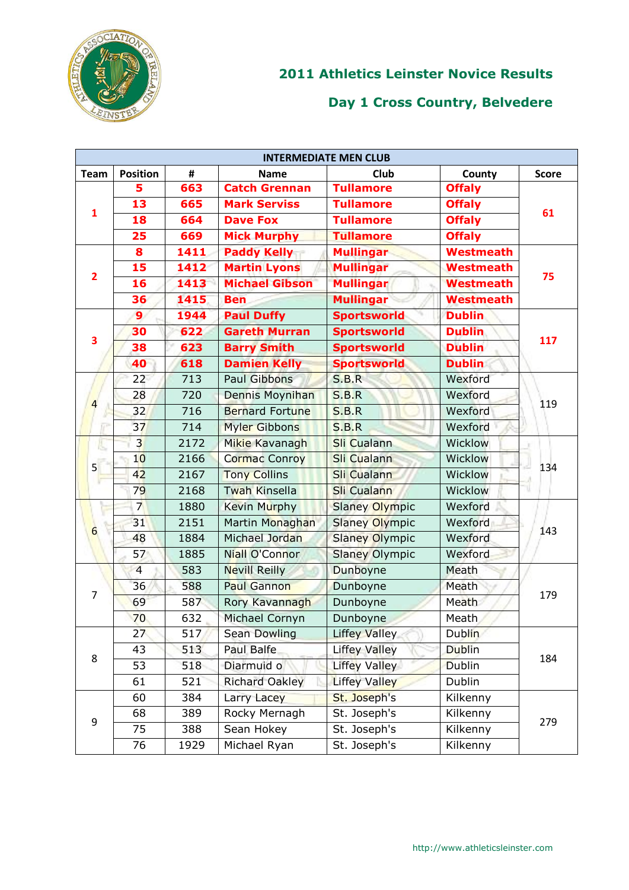

| <b>INTERMEDIATE MEN CLUB</b> |                 |      |                        |                       |                  |              |  |
|------------------------------|-----------------|------|------------------------|-----------------------|------------------|--------------|--|
| <b>Team</b>                  | <b>Position</b> | #    | <b>Name</b>            | Club                  | County           | <b>Score</b> |  |
|                              | 5               | 663  | <b>Catch Grennan</b>   | <b>Tullamore</b>      | <b>Offaly</b>    |              |  |
|                              | 13              | 665  | <b>Mark Serviss</b>    | <b>Tullamore</b>      | <b>Offaly</b>    | 61           |  |
| 1                            | 18              | 664  | <b>Dave Fox</b>        | <b>Tullamore</b>      | <b>Offaly</b>    |              |  |
|                              | 25              | 669  | <b>Mick Murphy</b>     | <b>Tullamore</b>      | <b>Offaly</b>    |              |  |
|                              | 8               | 1411 | <b>Paddy Kelly</b>     | <b>Mullingar</b>      | <b>Westmeath</b> |              |  |
| $\overline{2}$               | 15              | 1412 | <b>Martin Lyons</b>    | <b>Mullingar</b>      | <b>Westmeath</b> | 75           |  |
|                              | 16              | 1413 | <b>Michael Gibson</b>  | <b>Mullingar</b>      | <b>Westmeath</b> |              |  |
|                              | 36              | 1415 | <b>Ben</b>             | <b>Mullingar</b>      | <b>Westmeath</b> |              |  |
|                              | 9               | 1944 | <b>Paul Duffy</b>      | <b>Sportsworld</b>    | <b>Dublin</b>    |              |  |
| 3                            | 30              | 622  | <b>Gareth Murran</b>   | <b>Sportsworld</b>    | <b>Dublin</b>    | 117          |  |
|                              | 38              | 623  | <b>Barry Smith</b>     | <b>Sportsworld</b>    | <b>Dublin</b>    |              |  |
|                              | 40              | 618  | <b>Damien Kelly</b>    | <b>Sportsworld</b>    | <b>Dublin</b>    |              |  |
|                              | 22              | 713  | <b>Paul Gibbons</b>    | S.B.R                 | Wexford          |              |  |
|                              | 28              | 720  | Dennis Moynihan        | S.B.R                 | Wexford          | 119          |  |
| 4                            | 32              | 716  | <b>Bernard Fortune</b> | S.B.R                 | Wexford          |              |  |
| īπ                           | 37              | 714  | Myler Gibbons          | S.B.R                 | Wexford          |              |  |
| n,                           | $\overline{3}$  | 2172 | Mikie Kavanagh         | <b>Sli Cualann</b>    | <b>Wicklow</b>   |              |  |
|                              | 10              | 2166 | <b>Cormac Conroy</b>   | Sli Cualann           | Wicklow          | 134          |  |
| 5                            | 42              | 2167 | <b>Tony Collins</b>    | <b>Sli Cualann</b>    | Wicklow          |              |  |
|                              | 79              | 2168 | <b>Twah Kinsella</b>   | <b>Sli Cualann</b>    | Wicklow          |              |  |
|                              | $\overline{7}$  | 1880 | <b>Kevin Murphy</b>    | <b>Slaney Olympic</b> | Wexford          | 143          |  |
|                              | 31              | 2151 | Martin Monaghan        | <b>Slaney Olympic</b> | Wexford          |              |  |
| $6\phantom{a}$               | 48              | 1884 | Michael Jordan         | <b>Slaney Olympic</b> | Wexford          |              |  |
|                              | 57              | 1885 | <b>Niall O'Connor</b>  | <b>Slaney Olympic</b> | Wexford          |              |  |
|                              | $\overline{4}$  | 583  | <b>Nevill Reilly</b>   | Dunboyne              | Meath            |              |  |
|                              | 36              | 588  | Paul Gannon            | Dunboyne              | Meath            |              |  |
| 7                            | 69              | 587  | Rory Kavannagh         | Dunboyne              | Meath            | 179          |  |
|                              | 70              | 632  | Michael Cornyn         | Dunboyne              | Meath            |              |  |
|                              | 27              | 517  | <b>Sean Dowling</b>    | <b>Liffey Valley</b>  | <b>Dublin</b>    |              |  |
|                              | 43              | 513  | Paul Balfe             | <b>Liffey Valley</b>  | <b>Dublin</b>    |              |  |
| 8                            | 53              | 518  | Diarmuid o             | <b>Liffey Valley</b>  | <b>Dublin</b>    | 184          |  |
|                              | 61              | 521  | <b>Richard Oakley</b>  | <b>Liffey Valley</b>  | Dublin           |              |  |
|                              | 60              | 384  | Larry Lacey            | St. Joseph's          | Kilkenny         |              |  |
|                              | 68              | 389  | Rocky Mernagh          | St. Joseph's          | Kilkenny         |              |  |
| 9                            | 75              | 388  | Sean Hokey             | St. Joseph's          | Kilkenny         | 279          |  |
|                              | 76              | 1929 | Michael Ryan           | St. Joseph's          | Kilkenny         |              |  |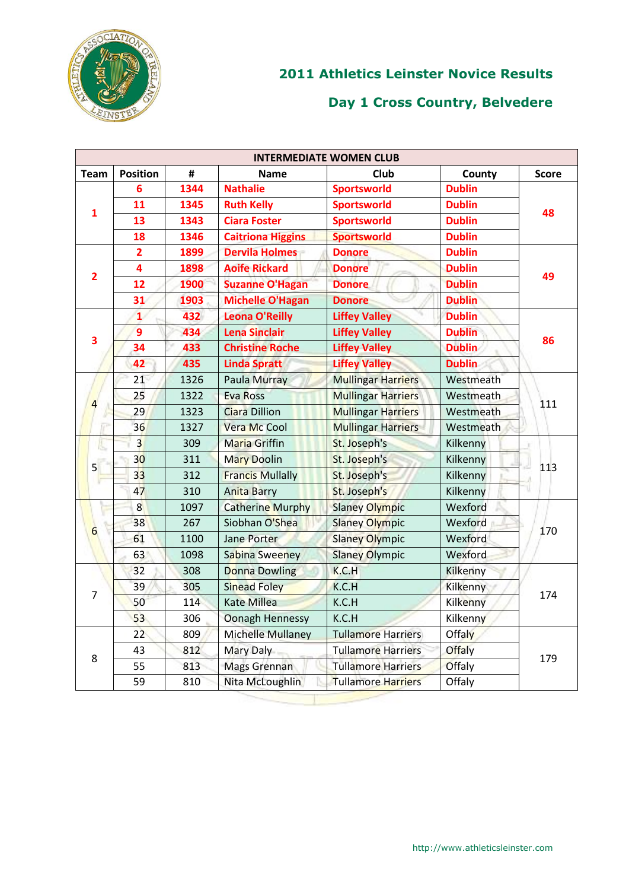

|                 | <b>INTERMEDIATE WOMEN CLUB</b> |      |                          |                           |                  |              |  |  |
|-----------------|--------------------------------|------|--------------------------|---------------------------|------------------|--------------|--|--|
| <b>Team</b>     | <b>Position</b>                | #    | <b>Name</b>              | Club                      | County           | <b>Score</b> |  |  |
|                 | 6                              | 1344 | <b>Nathalie</b>          | <b>Sportsworld</b>        | <b>Dublin</b>    |              |  |  |
| 1               | 11                             | 1345 | <b>Ruth Kelly</b>        | <b>Sportsworld</b>        | <b>Dublin</b>    | 48           |  |  |
|                 | 13                             | 1343 | <b>Ciara Foster</b>      | <b>Sportsworld</b>        | <b>Dublin</b>    |              |  |  |
|                 | 18                             | 1346 | <b>Caitriona Higgins</b> | <b>Sportsworld</b>        | <b>Dublin</b>    |              |  |  |
|                 | $\overline{2}$                 | 1899 | <b>Dervila Holmes</b>    | <b>Donore</b>             | <b>Dublin</b>    |              |  |  |
|                 | 4                              | 1898 | <b>Aoife Rickard</b>     | <b>Donore</b>             | <b>Dublin</b>    |              |  |  |
| $\overline{2}$  | 12                             | 1900 | <b>Suzanne O'Hagan</b>   | <b>Donore</b>             | <b>Dublin</b>    | 49           |  |  |
|                 | 31                             | 1903 | <b>Michelle O'Hagan</b>  | <b>Donore</b>             | <b>Dublin</b>    |              |  |  |
|                 | 1                              | 432  | <b>Leona O'Reilly</b>    | <b>Liffey Valley</b>      | <b>Dublin</b>    |              |  |  |
|                 | $\overline{9}$                 | 434  | <b>Lena Sinclair</b>     | <b>Liffey Valley</b>      | <b>Dublin</b>    |              |  |  |
| 3               | 34                             | 433  | <b>Christine Roche</b>   | <b>Liffey Valley</b>      | <b>Dublin</b>    | 86           |  |  |
|                 | 42                             | 435  | <b>Linda Spratt</b>      | <b>Liffey Valley</b>      | <b>Dublin</b>    |              |  |  |
|                 | 21                             | 1326 | Paula Murray             | <b>Mullingar Harriers</b> | Westmeath        | 111          |  |  |
| īε              | 25                             | 1322 | <b>Eva Ross</b>          | <b>Mullingar Harriers</b> | Westmeath        |              |  |  |
|                 | 29                             | 1323 | <b>Ciara Dillion</b>     | <b>Mullingar Harriers</b> | Westmeath        |              |  |  |
|                 | 36                             | 1327 | Vera Mc Cool             | <b>Mullingar Harriers</b> | <b>Westmeath</b> |              |  |  |
| n,              | $\overline{3}$                 | 309  | <b>Maria Griffin</b>     | St. Joseph's              | Kilkenny         | 113<br>u     |  |  |
|                 | 30 <sup>°</sup>                | 311  | <b>Mary Doolin</b>       | St. Joseph's              | Kilkenny         |              |  |  |
| 5               | 3 <sup>3</sup>                 | 312  | <b>Francis Mullally</b>  | St. Joseph's              | Kilkenny         |              |  |  |
|                 | 47                             | 310  | <b>Anita Barry</b>       | St. Joseph's              | Kilkenny         |              |  |  |
|                 | 8 <sup>°</sup>                 | 1097 | <b>Catherine Murphy</b>  | <b>Slaney Olympic</b>     | Wexford          |              |  |  |
|                 | 38                             | 267  | Siobhan O'Shea           | <b>Slaney Olympic</b>     | Wexford          |              |  |  |
| $6\phantom{1}6$ | 61                             | 1100 | Jane Porter              | <b>Slaney Olympic</b>     | Wexford          | 170          |  |  |
|                 | 63                             | 1098 | <b>Sabina Sweeney</b>    | <b>Slaney Olympic</b>     | Wexford          |              |  |  |
|                 | 32                             | 308  | <b>Donna Dowling</b>     | K.C.H                     | Kilkenny         |              |  |  |
|                 | 39                             | 305  | Sinead Foley             | K.C.H                     | Kilkenny         |              |  |  |
| $\overline{7}$  | 50                             | 114  | <b>Kate Millea</b>       | K.C.H                     | Kilkenny         | 174          |  |  |
|                 | 53                             | 306  | <b>Oonagh Hennessy</b>   | K.C.H                     | Kilkenny         |              |  |  |
|                 | 22 <sup>6</sup>                | 809  | Michelle Mullaney        | <b>Tullamore Harriers</b> | <b>Offaly</b>    |              |  |  |
|                 | 43                             | 812  | Mary Daly                | <b>Tullamore Harriers</b> | <b>Offaly</b>    |              |  |  |
| 8               | 55                             | 813  | Mags Grennan             | <b>Tullamore Harriers</b> | Offaly           | 179          |  |  |
|                 | 59                             | 810  | Nita McLoughlin          | <b>Tullamore Harriers</b> | Offaly           |              |  |  |
|                 |                                |      |                          |                           |                  |              |  |  |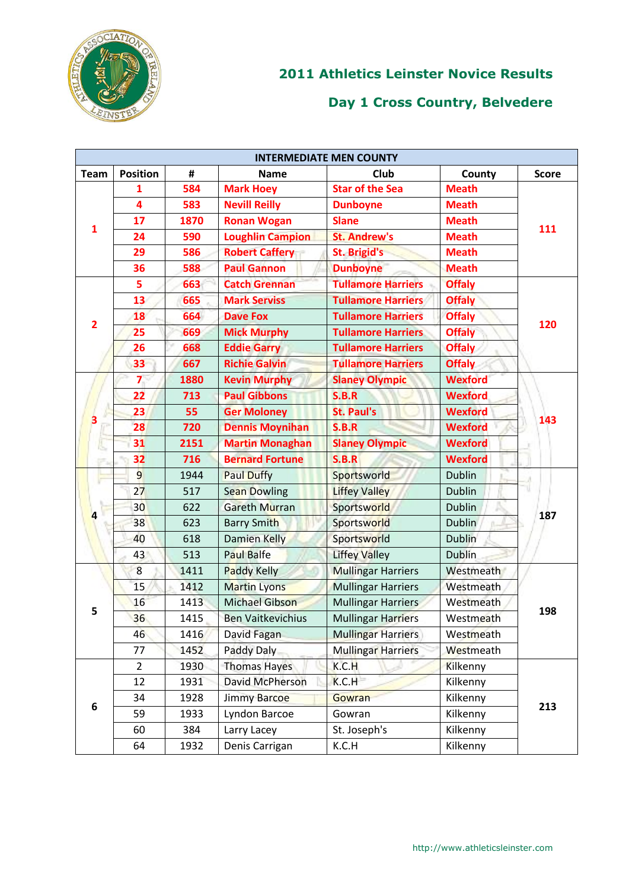

| <b>INTERMEDIATE MEN COUNTY</b> |                 |                |                          |                           |                |              |  |
|--------------------------------|-----------------|----------------|--------------------------|---------------------------|----------------|--------------|--|
| <b>Team</b>                    | <b>Position</b> | $\pmb{\sharp}$ | <b>Name</b>              | Club                      | County         | <b>Score</b> |  |
|                                | 1               | 584            | <b>Mark Hoey</b>         | <b>Star of the Sea</b>    | <b>Meath</b>   |              |  |
|                                | 4               | 583            | <b>Nevill Reilly</b>     | <b>Dunboyne</b>           | <b>Meath</b>   | 111          |  |
|                                | 17              | 1870           | <b>Ronan Wogan</b>       | <b>Slane</b>              | <b>Meath</b>   |              |  |
| $\mathbf{1}$                   | 24              | 590            | <b>Loughlin Campion</b>  | <b>St. Andrew's</b>       | <b>Meath</b>   |              |  |
|                                | 29              | 586            | <b>Robert Caffery</b>    | <b>St. Brigid's</b>       | <b>Meath</b>   |              |  |
|                                | 36              | 588            | <b>Paul Gannon</b>       | <b>Dunboyne</b>           | <b>Meath</b>   |              |  |
|                                | 5               | 663            | <b>Catch Grennan</b>     | <b>Tullamore Harriers</b> | <b>Offaly</b>  |              |  |
|                                | 13              | 665            | <b>Mark Serviss</b>      | <b>Tullamore Harriers</b> | <b>Offaly</b>  |              |  |
|                                | 18              | 664            | <b>Dave Fox</b>          | <b>Tullamore Harriers</b> | <b>Offaly</b>  |              |  |
| $\overline{2}$                 | 25              | 669            | <b>Mick Murphy</b>       | <b>Tullamore Harriers</b> | <b>Offaly</b>  | 120          |  |
|                                | 26              | 668            | <b>Eddie Garry</b>       | <b>Tullamore Harriers</b> | <b>Offaly</b>  |              |  |
|                                | 33              | 667            | <b>Richie Galvin</b>     | <b>Tullamore Harriers</b> | <b>Offaly</b>  |              |  |
|                                | $\overline{7}$  | 1880           | <b>Kevin Murphy</b>      | <b>Slaney Olympic</b>     | <b>Wexford</b> |              |  |
|                                | 22              | 713            | <b>Paul Gibbons</b>      | S.B.R                     | <b>Wexford</b> | 143          |  |
|                                | 23              | 55             | <b>Ger Moloney</b>       | <b>St. Paul's</b>         | <b>Wexford</b> |              |  |
| З                              | 28              | 720            | <b>Dennis Moynihan</b>   | <b>S.B.R</b>              | <b>Wexford</b> |              |  |
| c,                             | 31              | 2151           | <b>Martin Monaghan</b>   | <b>Slaney Olympic</b>     | <b>Wexford</b> |              |  |
|                                | 32              | 716            | <b>Bernard Fortune</b>   | S.B.R                     | <b>Wexford</b> |              |  |
|                                | $\overline{9}$  | 1944           | <b>Paul Duffy</b>        | Sportsworld               | <b>Dublin</b>  | 187          |  |
|                                | 27              | 517            | <b>Sean Dowling</b>      | <b>Liffey Valley</b>      | <b>Dublin</b>  |              |  |
| $\overline{a}$                 | 30              | 622            | <b>Gareth Murran</b>     | Sportsworld               | <b>Dublin</b>  |              |  |
|                                | 38              | 623            | <b>Barry Smith</b>       | Sportsworld               | <b>Dublin</b>  |              |  |
|                                | 40              | 618            | Damien Kelly             | Sportsworld               | <b>Dublin</b>  |              |  |
|                                | 43              | 513            | <b>Paul Balfe</b>        | <b>Liffey Valley</b>      | <b>Dublin</b>  |              |  |
|                                | $\overline{8}$  | 1411           | Paddy Kelly              | <b>Mullingar Harriers</b> | Westmeath      |              |  |
|                                | 15              | 1412           | <b>Martin Lyons</b>      | <b>Mullingar Harriers</b> | Westmeath      |              |  |
|                                | 16              | 1413           | <b>Michael Gibson</b>    | <b>Mullingar Harriers</b> | Westmeath      |              |  |
| 5                              | 36              | 1415           | <b>Ben Vaitkevichius</b> | <b>Mullingar Harriers</b> | Westmeath      | 198          |  |
|                                | 46              | 1416           | David Fagan              | <b>Mullingar Harriers</b> | Westmeath      |              |  |
|                                | 77              | 1452           | Paddy Daly               | <b>Mullingar Harriers</b> | Westmeath      |              |  |
|                                | $\overline{2}$  | 1930           | <b>Thomas Hayes</b>      | K.C.H                     | Kilkenny       |              |  |
|                                | 12              | 1931           | David McPherson          | K.C.H                     | Kilkenny       |              |  |
|                                | 34              | 1928           | <b>Jimmy Barcoe</b>      | Gowran                    | Kilkenny       |              |  |
| 6                              | 59              | 1933           | Lyndon Barcoe            | Gowran                    | Kilkenny       | 213          |  |
|                                | 60              | 384            | Larry Lacey              | St. Joseph's              | Kilkenny       |              |  |
|                                | 64              | 1932           | Denis Carrigan           | K.C.H                     | Kilkenny       |              |  |